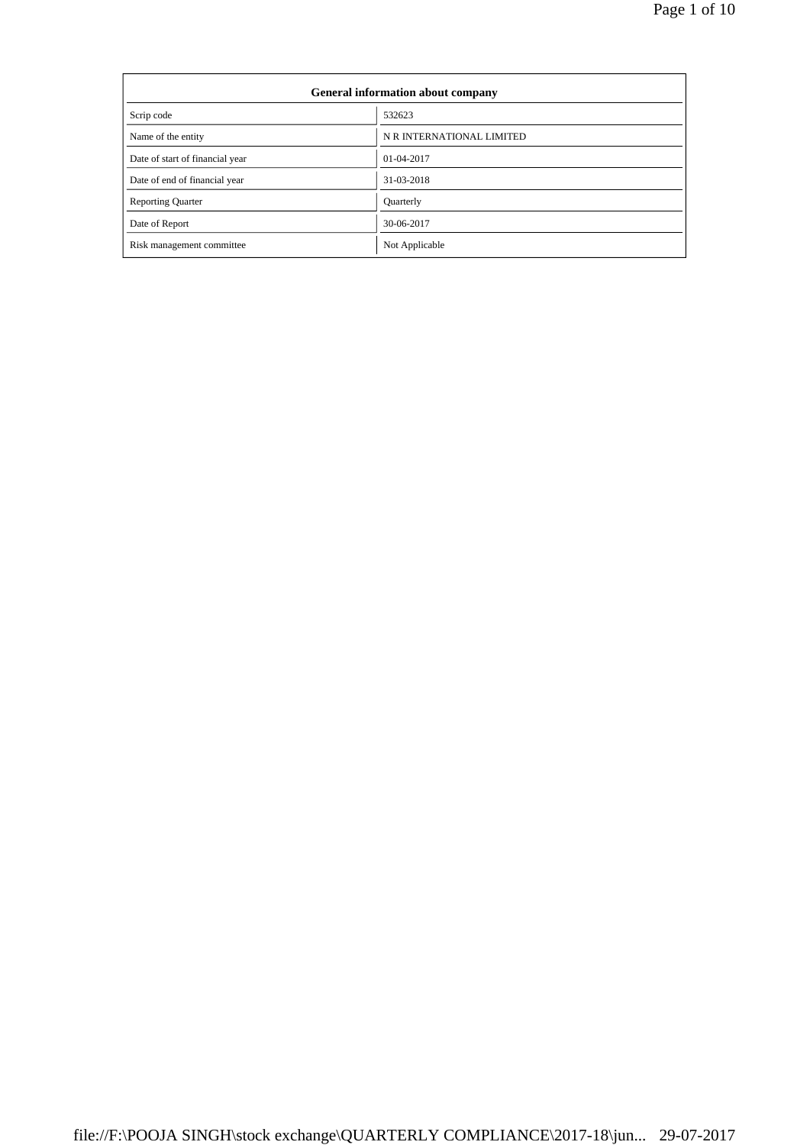| <b>General information about company</b> |                           |  |  |  |  |
|------------------------------------------|---------------------------|--|--|--|--|
| Scrip code                               | 532623                    |  |  |  |  |
| Name of the entity                       | N R INTERNATIONAL LIMITED |  |  |  |  |
| Date of start of financial year          | 01-04-2017                |  |  |  |  |
| Date of end of financial year            | 31-03-2018                |  |  |  |  |
| <b>Reporting Quarter</b>                 | <b>Quarterly</b>          |  |  |  |  |
| Date of Report                           | 30-06-2017                |  |  |  |  |
| Risk management committee                | Not Applicable            |  |  |  |  |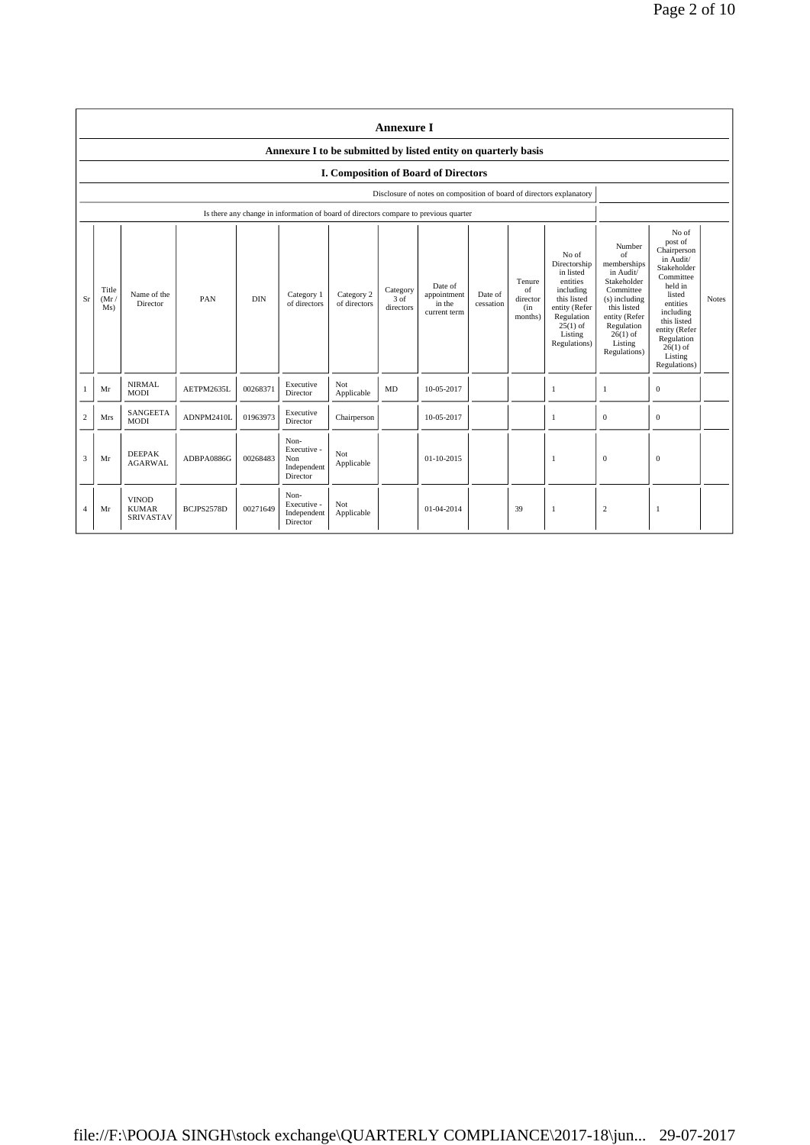|                | <b>Annexure I</b>                                              |                                                  |            |            |                                                                                      |                            |                                 |                                                                      |                      |                                            |                                                                                                                                                    |                                                                                                                                                                              |                                                                                                                                                                                                               |              |
|----------------|----------------------------------------------------------------|--------------------------------------------------|------------|------------|--------------------------------------------------------------------------------------|----------------------------|---------------------------------|----------------------------------------------------------------------|----------------------|--------------------------------------------|----------------------------------------------------------------------------------------------------------------------------------------------------|------------------------------------------------------------------------------------------------------------------------------------------------------------------------------|---------------------------------------------------------------------------------------------------------------------------------------------------------------------------------------------------------------|--------------|
|                | Annexure I to be submitted by listed entity on quarterly basis |                                                  |            |            |                                                                                      |                            |                                 |                                                                      |                      |                                            |                                                                                                                                                    |                                                                                                                                                                              |                                                                                                                                                                                                               |              |
|                | I. Composition of Board of Directors                           |                                                  |            |            |                                                                                      |                            |                                 |                                                                      |                      |                                            |                                                                                                                                                    |                                                                                                                                                                              |                                                                                                                                                                                                               |              |
|                |                                                                |                                                  |            |            |                                                                                      |                            |                                 | Disclosure of notes on composition of board of directors explanatory |                      |                                            |                                                                                                                                                    |                                                                                                                                                                              |                                                                                                                                                                                                               |              |
|                |                                                                |                                                  |            |            | Is there any change in information of board of directors compare to previous quarter |                            |                                 |                                                                      |                      |                                            |                                                                                                                                                    |                                                                                                                                                                              |                                                                                                                                                                                                               |              |
| Sr             | Title<br>(Mr)<br>Ms)                                           | Name of the<br>Director                          | PAN        | <b>DIN</b> | Category 1<br>of directors                                                           | Category 2<br>of directors | Category<br>$3$ of<br>directors | Date of<br>appointment<br>in the<br>current term                     | Date of<br>cessation | Tenure<br>of<br>director<br>(in<br>months) | No of<br>Directorship<br>in listed<br>entities<br>including<br>this listed<br>entity (Refer<br>Regulation<br>$25(1)$ of<br>Listing<br>Regulations) | Number<br>of<br>memberships<br>in Audit/<br>Stakeholder<br>Committee<br>(s) including<br>this listed<br>entity (Refer<br>Regulation<br>$26(1)$ of<br>Listing<br>Regulations) | No of<br>post of<br>Chairperson<br>in Audit/<br>Stakeholder<br>Committee<br>held in<br>listed<br>entities<br>including<br>this listed<br>entity (Refer<br>Regulation<br>$26(1)$ of<br>Listing<br>Regulations) | <b>Notes</b> |
|                | Mr                                                             | <b>NIRMAL</b><br><b>MODI</b>                     | AETPM2635L | 00268371   | Executive<br>Director                                                                | Not<br>Applicable          | MD                              | 10-05-2017                                                           |                      |                                            | 1                                                                                                                                                  | 1                                                                                                                                                                            | $\mathbf{0}$                                                                                                                                                                                                  |              |
| $\overline{2}$ | <b>Mrs</b>                                                     | <b>SANGEETA</b><br><b>MODI</b>                   | ADNPM2410L | 01963973   | Executive<br>Director                                                                | Chairperson                |                                 | 10-05-2017                                                           |                      |                                            | 1                                                                                                                                                  | $\mathbf{0}$                                                                                                                                                                 | $\mathbf{0}$                                                                                                                                                                                                  |              |
| 3              | Mr                                                             | <b>DEEPAK</b><br><b>AGARWAL</b>                  | ADBPA0886G | 00268483   | Non-<br>Executive -<br>Non<br>Independent<br>Director                                | Not<br>Applicable          |                                 | 01-10-2015                                                           |                      |                                            | -1                                                                                                                                                 | $\overline{0}$                                                                                                                                                               | $\mathbf{0}$                                                                                                                                                                                                  |              |
| $\overline{4}$ | Mr                                                             | <b>VINOD</b><br><b>KUMAR</b><br><b>SRIVASTAV</b> | BCJPS2578D | 00271649   | Non-<br>Executive -<br>Independent<br>Director                                       | Not<br>Applicable          |                                 | 01-04-2014                                                           |                      | 39                                         | 1                                                                                                                                                  | $\sqrt{2}$                                                                                                                                                                   | -1                                                                                                                                                                                                            |              |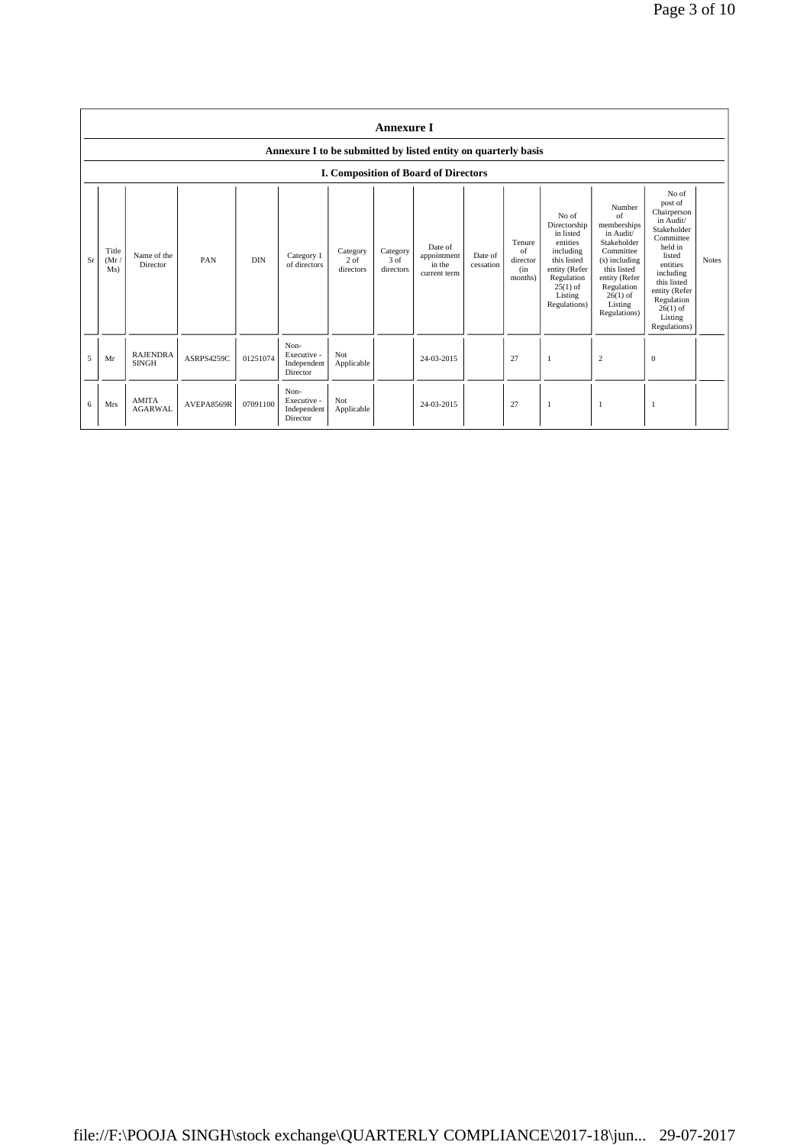|    | <b>Annexure I</b>                                              |                                 |            |            |                                                |                                 |                               |                                                  |                      |                                            |                                                                                                                                                    |                                                                                                                                                                                      |                                                                                                                                                                                                               |              |
|----|----------------------------------------------------------------|---------------------------------|------------|------------|------------------------------------------------|---------------------------------|-------------------------------|--------------------------------------------------|----------------------|--------------------------------------------|----------------------------------------------------------------------------------------------------------------------------------------------------|--------------------------------------------------------------------------------------------------------------------------------------------------------------------------------------|---------------------------------------------------------------------------------------------------------------------------------------------------------------------------------------------------------------|--------------|
|    | Annexure I to be submitted by listed entity on quarterly basis |                                 |            |            |                                                |                                 |                               |                                                  |                      |                                            |                                                                                                                                                    |                                                                                                                                                                                      |                                                                                                                                                                                                               |              |
|    |                                                                |                                 |            |            |                                                |                                 |                               | <b>I. Composition of Board of Directors</b>      |                      |                                            |                                                                                                                                                    |                                                                                                                                                                                      |                                                                                                                                                                                                               |              |
| Sr | Title<br>(Mr)<br>Ms)                                           | Name of the<br>Director         | PAN        | <b>DIN</b> | Category 1<br>of directors                     | Category<br>$2$ of<br>directors | Category<br>3 of<br>directors | Date of<br>appointment<br>in the<br>current term | Date of<br>cessation | Tenure<br>of<br>director<br>(in<br>months) | No of<br>Directorship<br>in listed<br>entities<br>including<br>this listed<br>entity (Refer<br>Regulation<br>$25(1)$ of<br>Listing<br>Regulations) | Number<br>$\alpha$ f<br>memberships<br>in Audit/<br>Stakeholder<br>Committee<br>(s) including<br>this listed<br>entity (Refer<br>Regulation<br>$26(1)$ of<br>Listing<br>Regulations) | No of<br>post of<br>Chairperson<br>in Audit/<br>Stakeholder<br>Committee<br>held in<br>listed<br>entities<br>including<br>this listed<br>entity (Refer<br>Regulation<br>$26(1)$ of<br>Listing<br>Regulations) | <b>Notes</b> |
| 5  | Mr                                                             | <b>RAJENDRA</b><br><b>SINGH</b> | ASRPS4259C | 01251074   | Non-<br>Executive -<br>Independent<br>Director | Not<br>Applicable               |                               | 24-03-2015                                       |                      | 27                                         | -1                                                                                                                                                 | $\overline{c}$                                                                                                                                                                       | $\mathbf{0}$                                                                                                                                                                                                  |              |
| 6  | <b>Mrs</b>                                                     | <b>AMITA</b><br><b>AGARWAL</b>  | AVEPA8569R | 07091100   | Non-<br>Executive -<br>Independent<br>Director | Not<br>Applicable               |                               | 24-03-2015                                       |                      | 27                                         |                                                                                                                                                    |                                                                                                                                                                                      |                                                                                                                                                                                                               |              |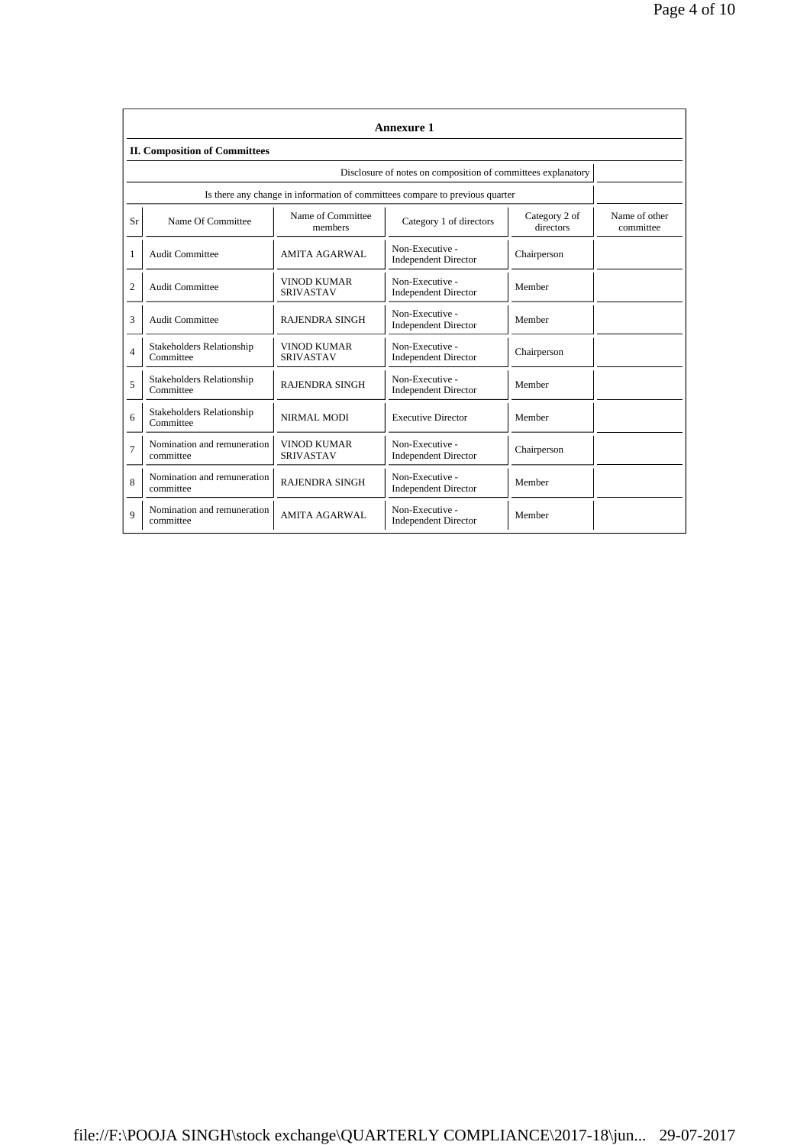|                | <b>Annexure 1</b>                                                            |                                        |                                                |                            |                            |  |  |  |  |  |
|----------------|------------------------------------------------------------------------------|----------------------------------------|------------------------------------------------|----------------------------|----------------------------|--|--|--|--|--|
|                | <b>II. Composition of Committees</b>                                         |                                        |                                                |                            |                            |  |  |  |  |  |
|                | Disclosure of notes on composition of committees explanatory                 |                                        |                                                |                            |                            |  |  |  |  |  |
|                | Is there any change in information of committees compare to previous quarter |                                        |                                                |                            |                            |  |  |  |  |  |
| Sr             | Name Of Committee                                                            | Name of Committee<br>members           | Category 1 of directors                        | Category 2 of<br>directors | Name of other<br>committee |  |  |  |  |  |
| 1              | <b>Audit Committee</b>                                                       | <b>AMITA AGARWAL</b>                   | Non-Executive -<br><b>Independent Director</b> | Chairperson                |                            |  |  |  |  |  |
| $\overline{2}$ | <b>Audit Committee</b>                                                       | VINOD KUMAR<br><b>SRIVASTAV</b>        | Non-Executive -<br><b>Independent Director</b> | Member                     |                            |  |  |  |  |  |
| 3              | <b>Audit Committee</b>                                                       | <b>RAJENDRA SINGH</b>                  | Non-Executive -<br><b>Independent Director</b> | Member                     |                            |  |  |  |  |  |
| $\overline{4}$ | <b>Stakeholders Relationship</b><br>Committee                                | VINOD KUMAR<br><b>SRIVASTAV</b>        | Non-Executive -<br><b>Independent Director</b> | Chairperson                |                            |  |  |  |  |  |
| 5              | <b>Stakeholders Relationship</b><br>Committee                                | <b>RAJENDRA SINGH</b>                  | Non-Executive -<br><b>Independent Director</b> | Member                     |                            |  |  |  |  |  |
| 6              | <b>Stakeholders Relationship</b><br>Committee                                | NIRMAL MODI                            | <b>Executive Director</b>                      | Member                     |                            |  |  |  |  |  |
| $\overline{7}$ | Nomination and remuneration<br>committee                                     | <b>VINOD KUMAR</b><br><b>SRIVASTAV</b> | Non-Executive -<br><b>Independent Director</b> | Chairperson                |                            |  |  |  |  |  |
| 8              | Nomination and remuneration<br>committee                                     | <b>RAJENDRA SINGH</b>                  | Non-Executive -<br><b>Independent Director</b> | Member                     |                            |  |  |  |  |  |
| 9              | Nomination and remuneration<br>committee                                     | <b>AMITA AGARWAL</b>                   | Non-Executive -<br><b>Independent Director</b> | Member                     |                            |  |  |  |  |  |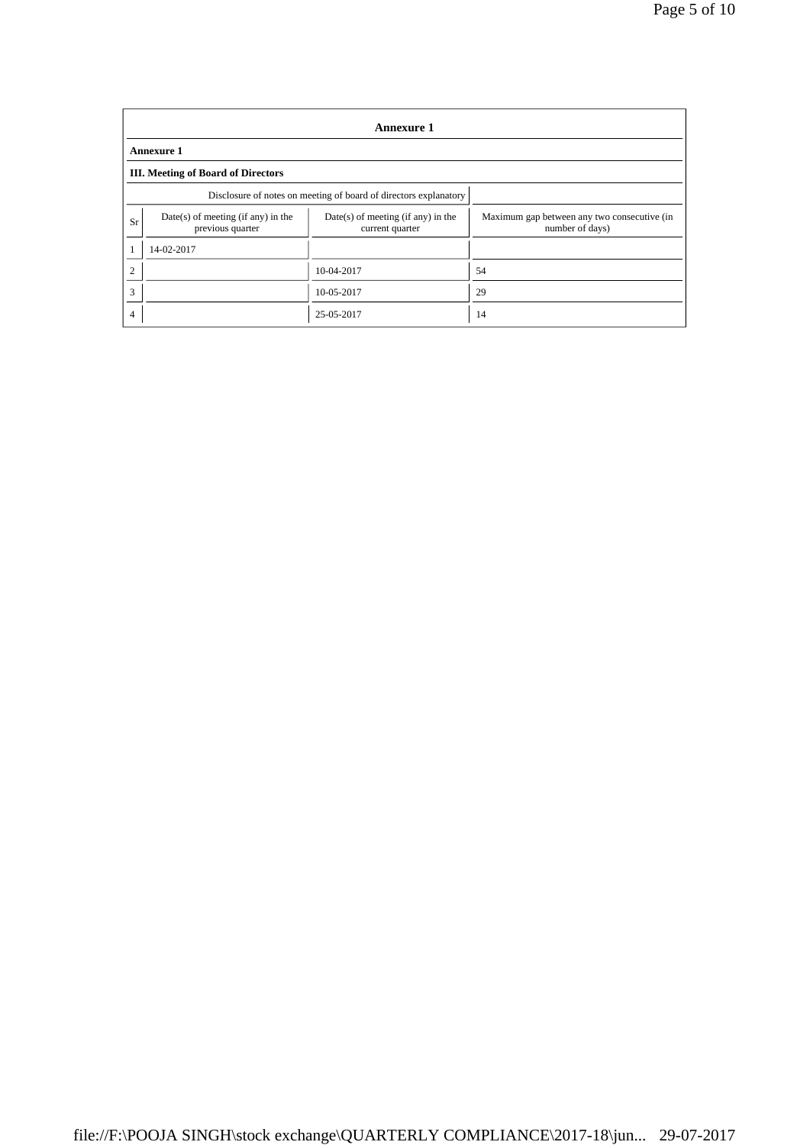|                | <b>Annexure 1</b>                                                                                                   |            |                                                                |  |  |  |  |  |
|----------------|---------------------------------------------------------------------------------------------------------------------|------------|----------------------------------------------------------------|--|--|--|--|--|
|                | <b>Annexure 1</b>                                                                                                   |            |                                                                |  |  |  |  |  |
|                | <b>III.</b> Meeting of Board of Directors                                                                           |            |                                                                |  |  |  |  |  |
|                | Disclosure of notes on meeting of board of directors explanatory                                                    |            |                                                                |  |  |  |  |  |
| Sr             | $Date(s)$ of meeting (if any) in the<br>$Date(s)$ of meeting (if any) in the<br>previous quarter<br>current quarter |            | Maximum gap between any two consecutive (in<br>number of days) |  |  |  |  |  |
|                | 14-02-2017                                                                                                          |            |                                                                |  |  |  |  |  |
| C              |                                                                                                                     | 10-04-2017 | 54                                                             |  |  |  |  |  |
| 3              |                                                                                                                     | 10-05-2017 | 29                                                             |  |  |  |  |  |
| $\overline{4}$ |                                                                                                                     | 25-05-2017 | 14                                                             |  |  |  |  |  |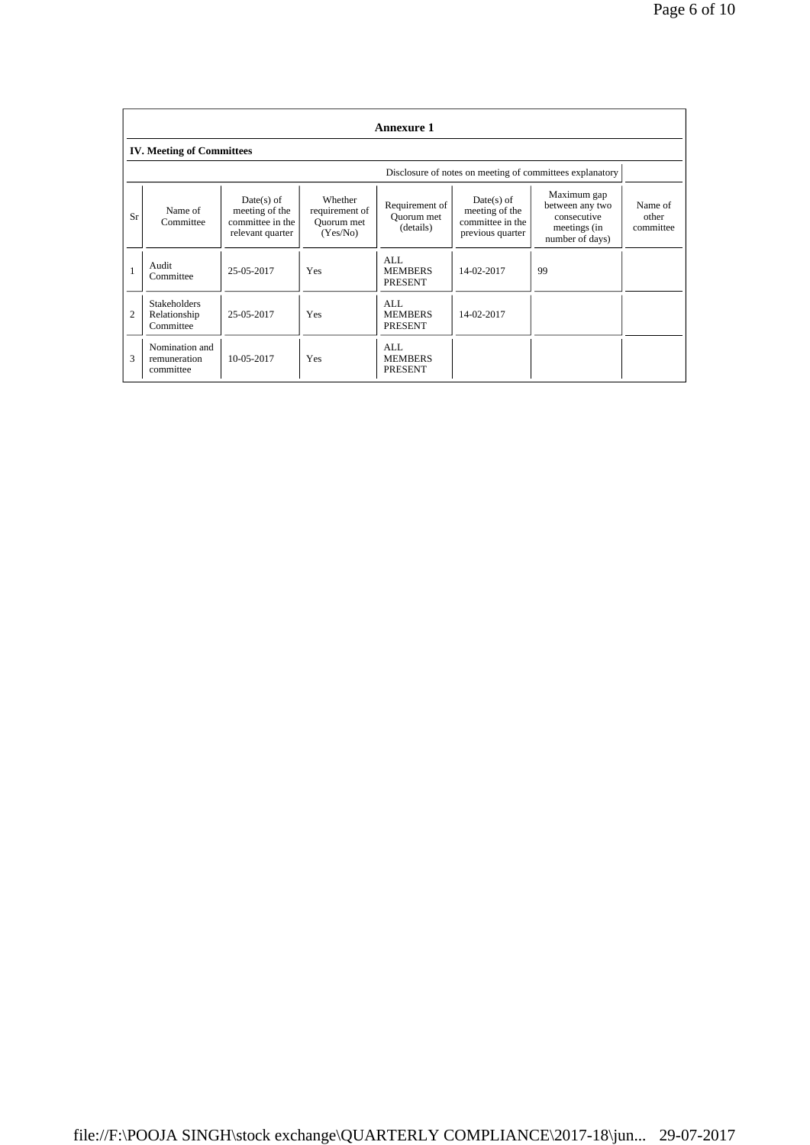|                | <b>Annexure 1</b>                                        |                                                                        |                                                     |                                           |                                                                        |                                                                                  |                               |  |  |
|----------------|----------------------------------------------------------|------------------------------------------------------------------------|-----------------------------------------------------|-------------------------------------------|------------------------------------------------------------------------|----------------------------------------------------------------------------------|-------------------------------|--|--|
|                | <b>IV. Meeting of Committees</b>                         |                                                                        |                                                     |                                           |                                                                        |                                                                                  |                               |  |  |
|                | Disclosure of notes on meeting of committees explanatory |                                                                        |                                                     |                                           |                                                                        |                                                                                  |                               |  |  |
| Sr             | Name of<br>Committee                                     | $Date(s)$ of<br>meeting of the<br>committee in the<br>relevant quarter | Whether<br>requirement of<br>Quorum met<br>(Yes/No) | Requirement of<br>Ouorum met<br>(details) | $Date(s)$ of<br>meeting of the<br>committee in the<br>previous quarter | Maximum gap<br>between any two<br>consecutive<br>meetings (in<br>number of days) | Name of<br>other<br>committee |  |  |
|                | Audit<br>Committee                                       | 25-05-2017                                                             | Yes                                                 | AI.<br><b>MEMBERS</b><br><b>PRESENT</b>   | 14-02-2017                                                             | 99                                                                               |                               |  |  |
| $\overline{2}$ | <b>Stakeholders</b><br>Relationship<br>Committee         | 25-05-2017                                                             | Yes                                                 | AI.<br><b>MEMBERS</b><br><b>PRESENT</b>   | 14-02-2017                                                             |                                                                                  |                               |  |  |
| 3              | Nomination and<br>remuneration<br>committee              | 10-05-2017                                                             | <b>Yes</b>                                          | AI.<br><b>MEMBERS</b><br><b>PRESENT</b>   |                                                                        |                                                                                  |                               |  |  |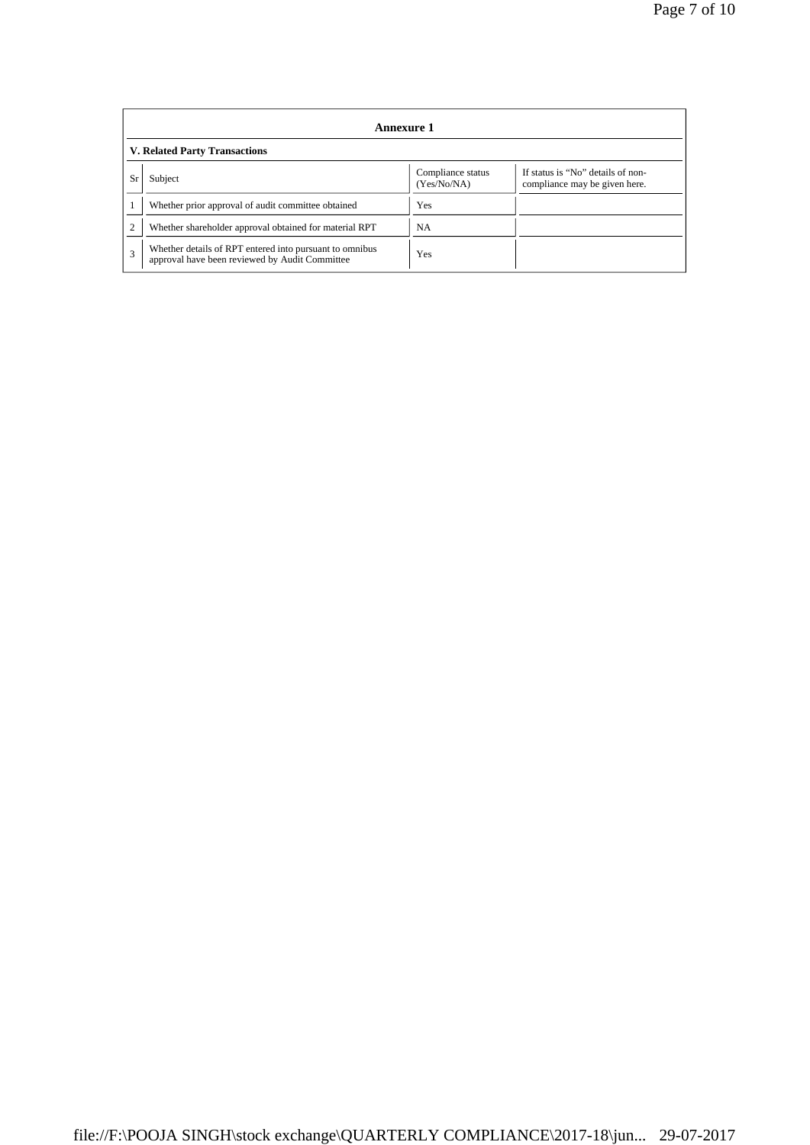|              | Annexure 1                                                                                                |                                  |                                                                    |  |  |  |  |
|--------------|-----------------------------------------------------------------------------------------------------------|----------------------------------|--------------------------------------------------------------------|--|--|--|--|
|              | <b>V. Related Party Transactions</b>                                                                      |                                  |                                                                    |  |  |  |  |
| Sr           | Subject                                                                                                   | Compliance status<br>(Yes/No/NA) | If status is "No" details of non-<br>compliance may be given here. |  |  |  |  |
|              | Whether prior approval of audit committee obtained                                                        | Yes                              |                                                                    |  |  |  |  |
|              | Whether shareholder approval obtained for material RPT                                                    | NA.                              |                                                                    |  |  |  |  |
| $\mathbf{3}$ | Whether details of RPT entered into pursuant to omnibus<br>approval have been reviewed by Audit Committee | Yes                              |                                                                    |  |  |  |  |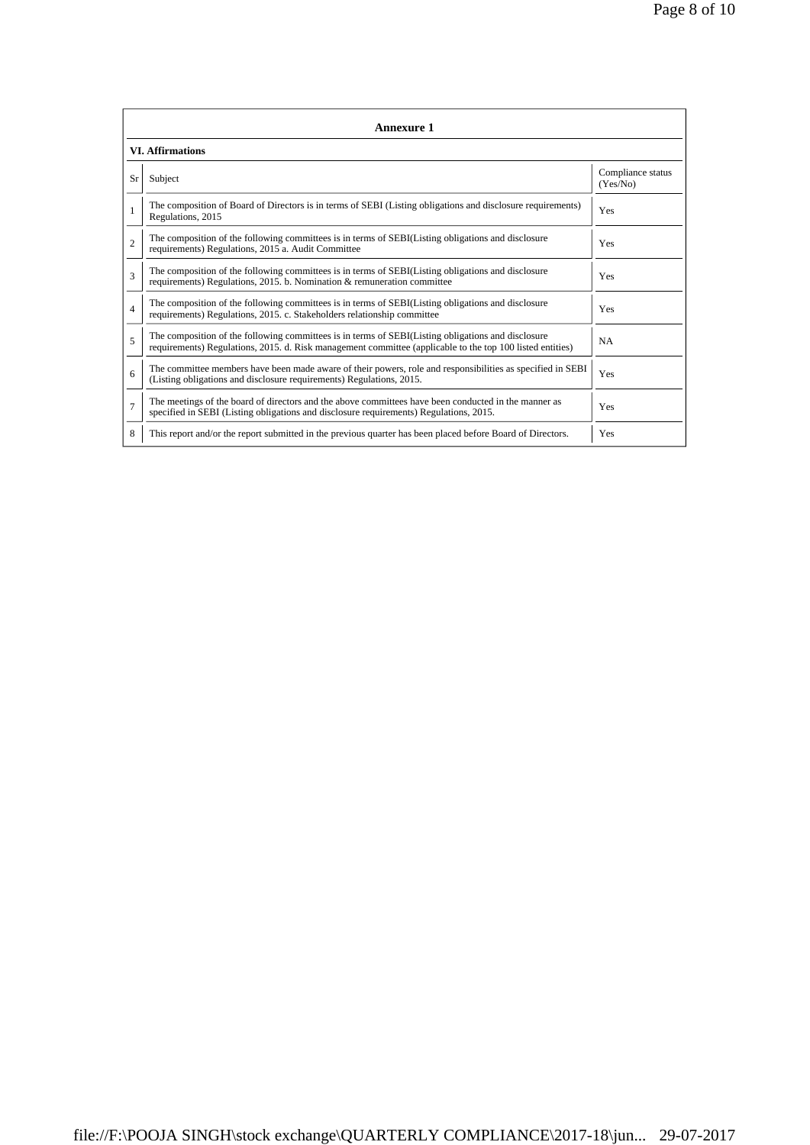|                | <b>Annexure 1</b>                                                                                                                                                                                               |                               |  |  |  |  |  |  |
|----------------|-----------------------------------------------------------------------------------------------------------------------------------------------------------------------------------------------------------------|-------------------------------|--|--|--|--|--|--|
|                | <b>VI. Affirmations</b>                                                                                                                                                                                         |                               |  |  |  |  |  |  |
| Sr             | Subject                                                                                                                                                                                                         | Compliance status<br>(Yes/No) |  |  |  |  |  |  |
|                | The composition of Board of Directors is in terms of SEBI (Listing obligations and disclosure requirements)<br>Regulations, 2015                                                                                | Yes                           |  |  |  |  |  |  |
| $\overline{c}$ | The composition of the following committees is in terms of SEBI(Listing obligations and disclosure<br>requirements) Regulations, 2015 a. Audit Committee                                                        | Yes                           |  |  |  |  |  |  |
| 3              | The composition of the following committees is in terms of SEBI(Listing obligations and disclosure<br>requirements) Regulations, 2015. b. Nomination & remuneration committee                                   | <b>Yes</b>                    |  |  |  |  |  |  |
| 4              | The composition of the following committees is in terms of SEBI(Listing obligations and disclosure<br>requirements) Regulations, 2015. c. Stakeholders relationship committee                                   | Yes                           |  |  |  |  |  |  |
| 5              | The composition of the following committees is in terms of SEBI(Listing obligations and disclosure<br>requirements) Regulations, 2015. d. Risk management committee (applicable to the top 100 listed entities) | <b>NA</b>                     |  |  |  |  |  |  |
| 6              | The committee members have been made aware of their powers, role and responsibilities as specified in SEBI<br>(Listing obligations and disclosure requirements) Regulations, 2015.                              | Yes                           |  |  |  |  |  |  |
| $\overline{7}$ | The meetings of the board of directors and the above committees have been conducted in the manner as<br>specified in SEBI (Listing obligations and disclosure requirements) Regulations, 2015.                  | Yes                           |  |  |  |  |  |  |
| 8              | This report and/or the report submitted in the previous quarter has been placed before Board of Directors.                                                                                                      | Yes                           |  |  |  |  |  |  |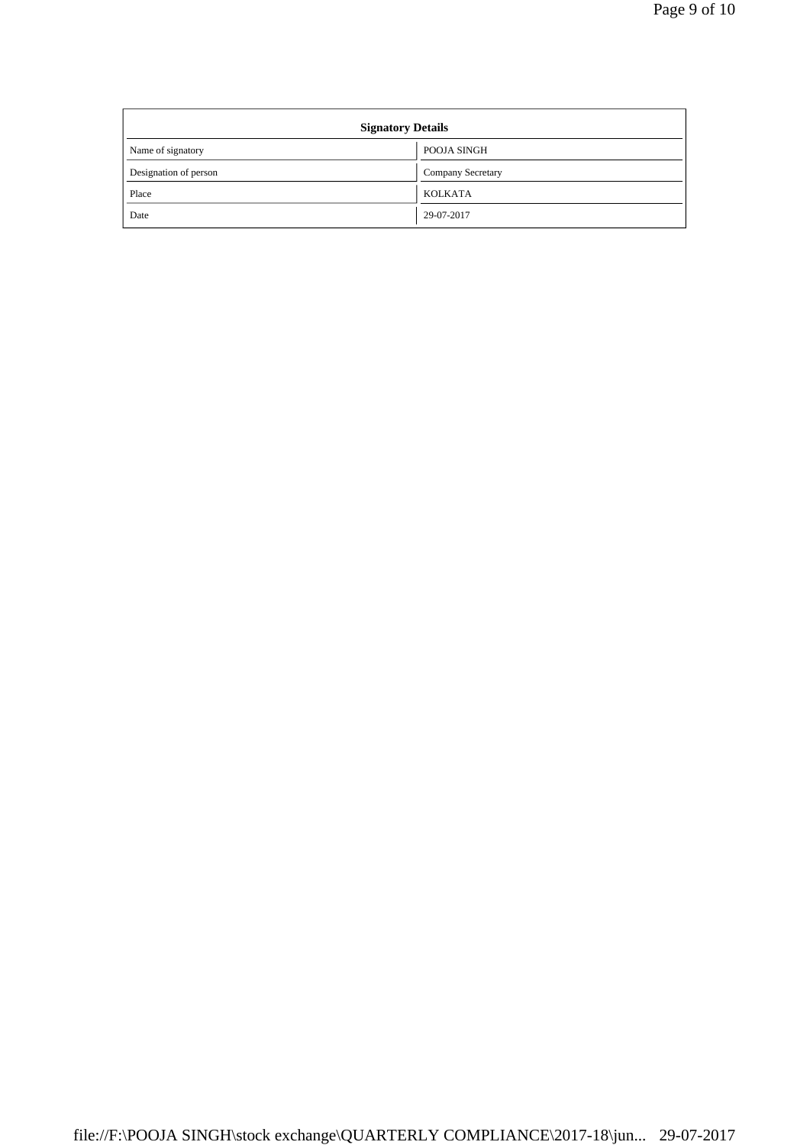| <b>Signatory Details</b> |                   |  |  |  |  |
|--------------------------|-------------------|--|--|--|--|
| Name of signatory        | POOJA SINGH       |  |  |  |  |
| Designation of person    | Company Secretary |  |  |  |  |
| Place                    | <b>KOLKATA</b>    |  |  |  |  |
| Date                     | 29-07-2017        |  |  |  |  |